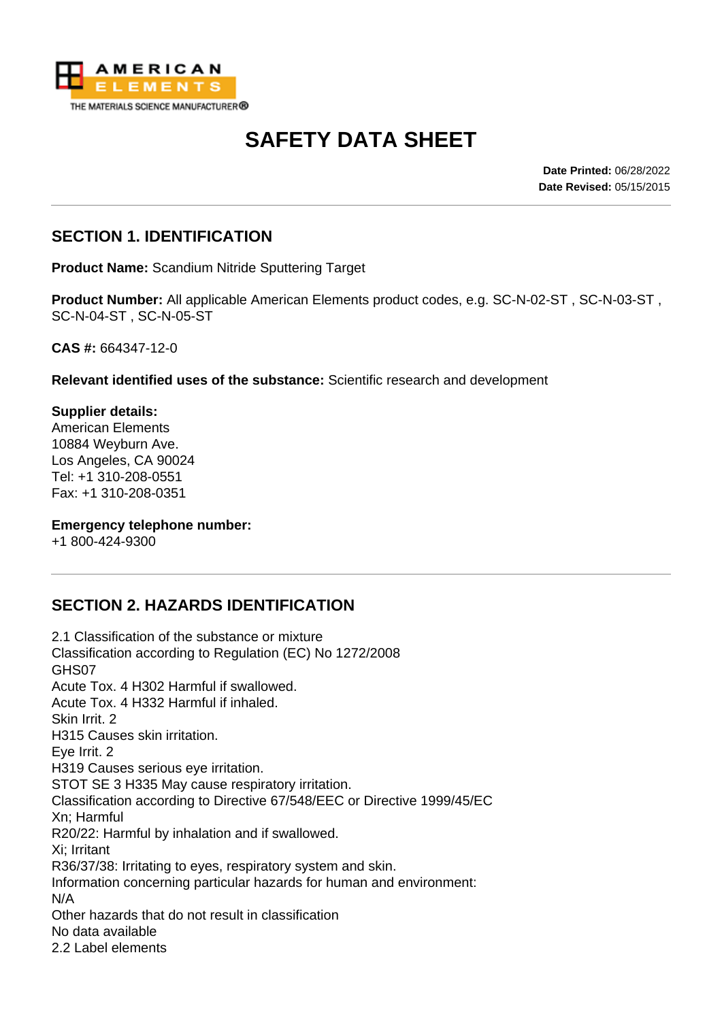

# **SAFETY DATA SHEET**

**Date Printed:** 06/28/2022 **Date Revised:** 05/15/2015

### **SECTION 1. IDENTIFICATION**

**Product Name:** Scandium Nitride Sputtering Target

**Product Number:** All applicable American Elements product codes, e.g. SC-N-02-ST , SC-N-03-ST , SC-N-04-ST , SC-N-05-ST

**CAS #:** 664347-12-0

**Relevant identified uses of the substance:** Scientific research and development

**Supplier details:** American Elements 10884 Weyburn Ave. Los Angeles, CA 90024 Tel: +1 310-208-0551 Fax: +1 310-208-0351

#### **Emergency telephone number:**

+1 800-424-9300

# **SECTION 2. HAZARDS IDENTIFICATION**

2.1 Classification of the substance or mixture Classification according to Regulation (EC) No 1272/2008 GHS07 Acute Tox. 4 H302 Harmful if swallowed. Acute Tox. 4 H332 Harmful if inhaled. Skin Irrit. 2 H315 Causes skin irritation. Eye Irrit. 2 H319 Causes serious eye irritation. STOT SE 3 H335 May cause respiratory irritation. Classification according to Directive 67/548/EEC or Directive 1999/45/EC Xn; Harmful R20/22: Harmful by inhalation and if swallowed. Xi; Irritant R36/37/38: Irritating to eyes, respiratory system and skin. Information concerning particular hazards for human and environment: N/A Other hazards that do not result in classification No data available 2.2 Label elements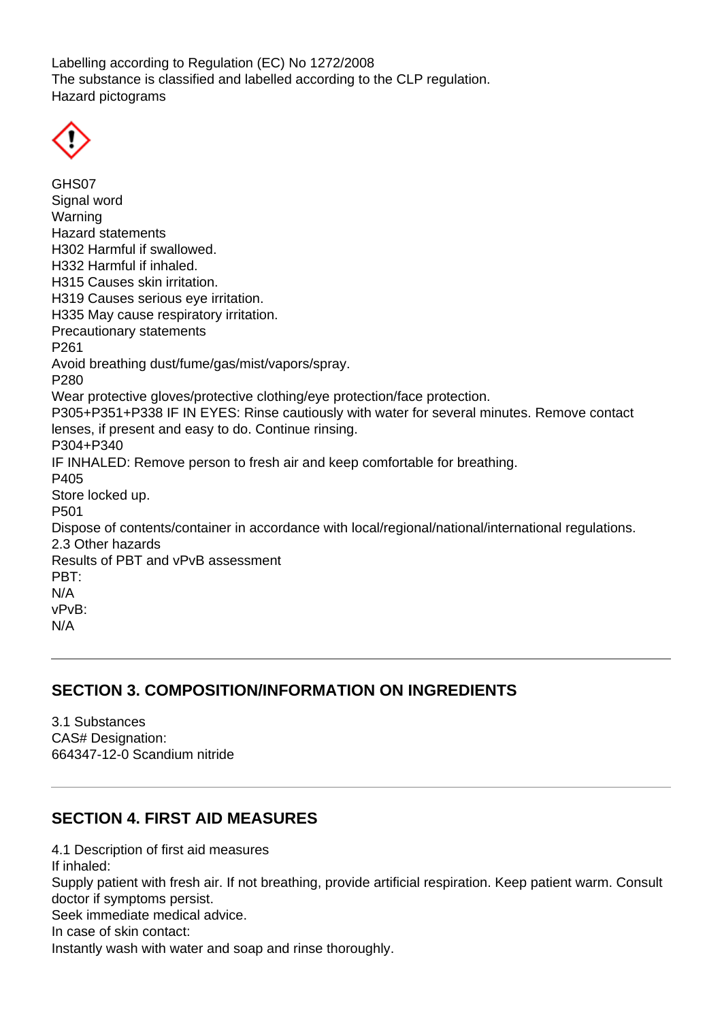Labelling according to Regulation (EC) No 1272/2008 The substance is classified and labelled according to the CLP regulation. Hazard pictograms

GHS07 Signal word Warning Hazard statements H302 Harmful if swallowed. H332 Harmful if inhaled. H315 Causes skin irritation. H319 Causes serious eye irritation. H335 May cause respiratory irritation. Precautionary statements P261 Avoid breathing dust/fume/gas/mist/vapors/spray. P280 Wear protective gloves/protective clothing/eye protection/face protection. P305+P351+P338 IF IN EYES: Rinse cautiously with water for several minutes. Remove contact lenses, if present and easy to do. Continue rinsing. P304+P340 IF INHALED: Remove person to fresh air and keep comfortable for breathing. P405 Store locked up. P501 Dispose of contents/container in accordance with local/regional/national/international regulations. 2.3 Other hazards Results of PBT and vPvB assessment PBT: N/A vPvB: N/A

#### **SECTION 3. COMPOSITION/INFORMATION ON INGREDIENTS**

3.1 Substances CAS# Designation: 664347-12-0 Scandium nitride

#### **SECTION 4. FIRST AID MEASURES**

4.1 Description of first aid measures If inhaled: Supply patient with fresh air. If not breathing, provide artificial respiration. Keep patient warm. Consult doctor if symptoms persist. Seek immediate medical advice. In case of skin contact: Instantly wash with water and soap and rinse thoroughly.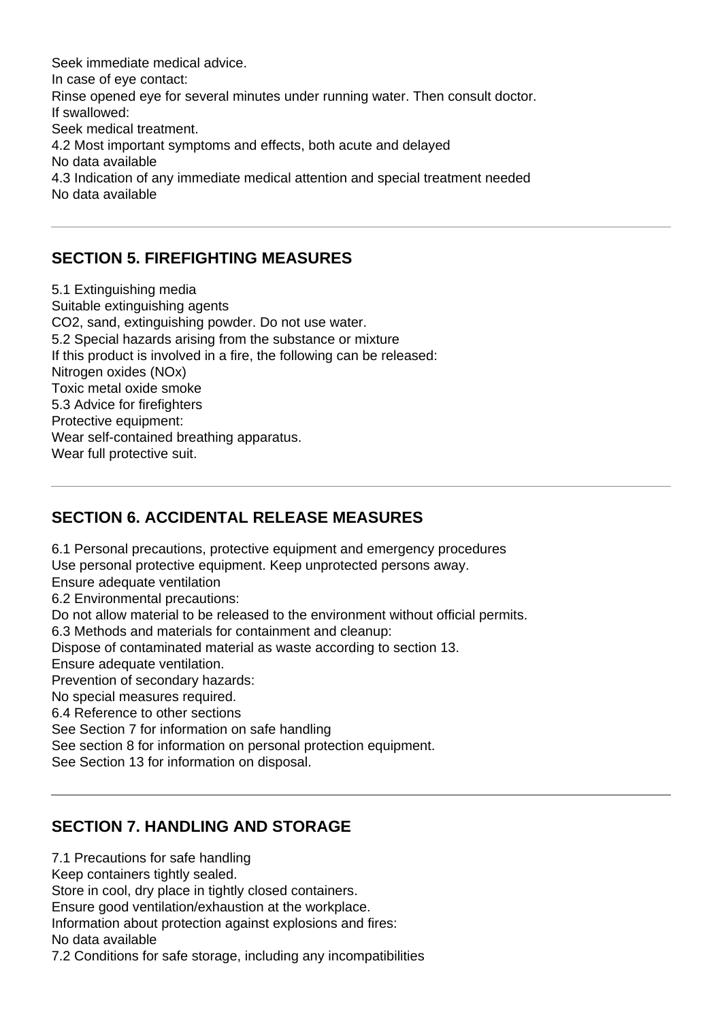Seek immediate medical advice. In case of eye contact: Rinse opened eye for several minutes under running water. Then consult doctor. If swallowed: Seek medical treatment. 4.2 Most important symptoms and effects, both acute and delayed No data available 4.3 Indication of any immediate medical attention and special treatment needed No data available

### **SECTION 5. FIREFIGHTING MEASURES**

5.1 Extinguishing media Suitable extinguishing agents CO2, sand, extinguishing powder. Do not use water. 5.2 Special hazards arising from the substance or mixture If this product is involved in a fire, the following can be released: Nitrogen oxides (NOx) Toxic metal oxide smoke 5.3 Advice for firefighters Protective equipment: Wear self-contained breathing apparatus. Wear full protective suit.

# **SECTION 6. ACCIDENTAL RELEASE MEASURES**

6.1 Personal precautions, protective equipment and emergency procedures Use personal protective equipment. Keep unprotected persons away. Ensure adequate ventilation 6.2 Environmental precautions: Do not allow material to be released to the environment without official permits. 6.3 Methods and materials for containment and cleanup: Dispose of contaminated material as waste according to section 13. Ensure adequate ventilation. Prevention of secondary hazards: No special measures required. 6.4 Reference to other sections See Section 7 for information on safe handling See section 8 for information on personal protection equipment. See Section 13 for information on disposal.

# **SECTION 7. HANDLING AND STORAGE**

7.1 Precautions for safe handling

Keep containers tightly sealed.

Store in cool, dry place in tightly closed containers.

Ensure good ventilation/exhaustion at the workplace.

Information about protection against explosions and fires:

No data available

7.2 Conditions for safe storage, including any incompatibilities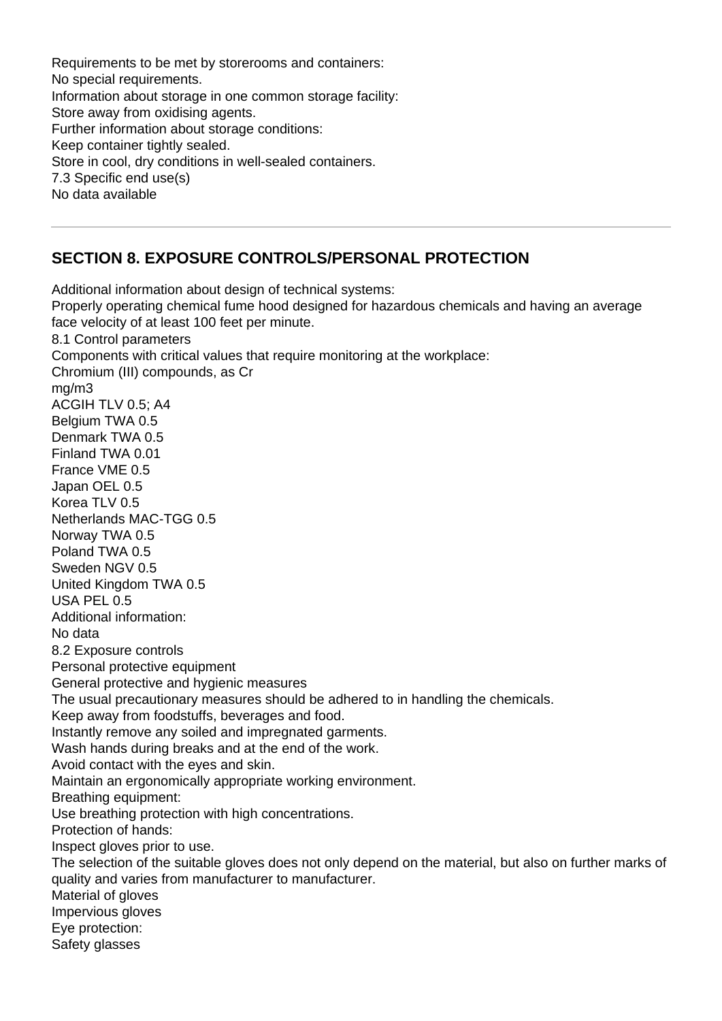Requirements to be met by storerooms and containers: No special requirements. Information about storage in one common storage facility: Store away from oxidising agents. Further information about storage conditions: Keep container tightly sealed. Store in cool, dry conditions in well-sealed containers. 7.3 Specific end use(s) No data available

# **SECTION 8. EXPOSURE CONTROLS/PERSONAL PROTECTION**

Additional information about design of technical systems: Properly operating chemical fume hood designed for hazardous chemicals and having an average face velocity of at least 100 feet per minute. 8.1 Control parameters Components with critical values that require monitoring at the workplace: Chromium (III) compounds, as Cr mg/m3 ACGIH TLV 0.5; A4 Belgium TWA 0.5 Denmark TWA 0.5 Finland TWA 0.01 France VME 0.5 Japan OEL 0.5 Korea TLV 0.5 Netherlands MAC-TGG 0.5 Norway TWA 0.5 Poland TWA 0.5 Sweden NGV 0.5 United Kingdom TWA 0.5 USA PEL 0.5 Additional information: No data 8.2 Exposure controls Personal protective equipment General protective and hygienic measures The usual precautionary measures should be adhered to in handling the chemicals. Keep away from foodstuffs, beverages and food. Instantly remove any soiled and impregnated garments. Wash hands during breaks and at the end of the work. Avoid contact with the eyes and skin. Maintain an ergonomically appropriate working environment. Breathing equipment: Use breathing protection with high concentrations. Protection of hands: Inspect gloves prior to use. The selection of the suitable gloves does not only depend on the material, but also on further marks of quality and varies from manufacturer to manufacturer. Material of gloves Impervious gloves Eye protection: Safety glasses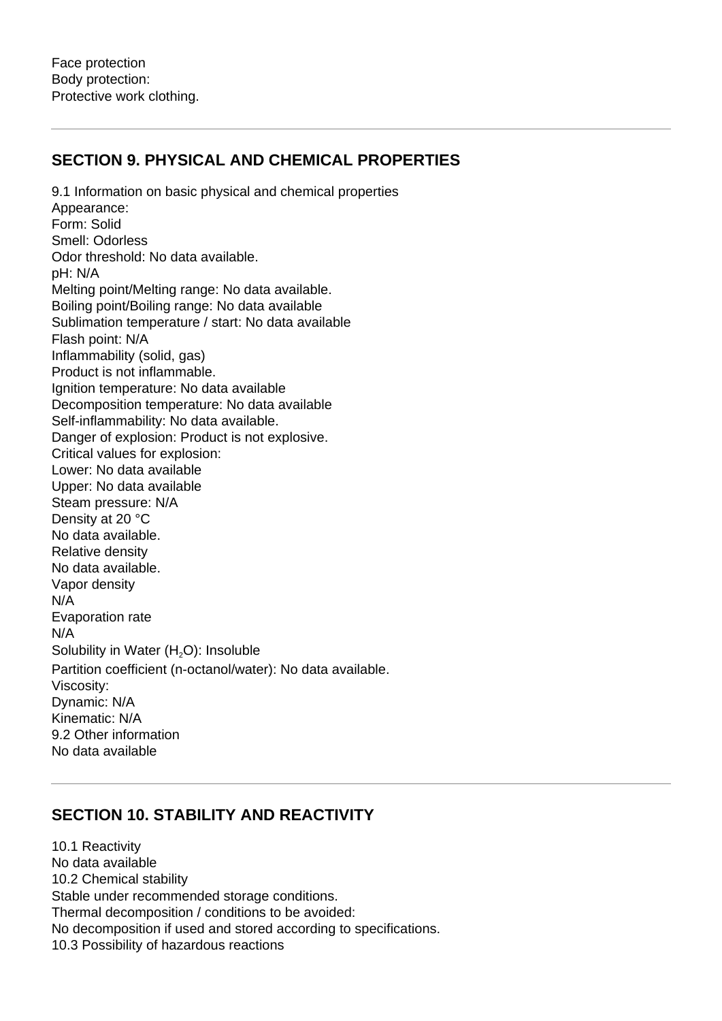### **SECTION 9. PHYSICAL AND CHEMICAL PROPERTIES**

9.1 Information on basic physical and chemical properties Appearance: Form: Solid Smell: Odorless Odor threshold: No data available. pH: N/A Melting point/Melting range: No data available. Boiling point/Boiling range: No data available Sublimation temperature / start: No data available Flash point: N/A Inflammability (solid, gas) Product is not inflammable. Ignition temperature: No data available Decomposition temperature: No data available Self-inflammability: No data available. Danger of explosion: Product is not explosive. Critical values for explosion: Lower: No data available Upper: No data available Steam pressure: N/A Density at 20 °C No data available. Relative density No data available. Vapor density N/A Evaporation rate N/A Solubility in Water  $(H<sub>2</sub>O)$ : Insoluble Partition coefficient (n-octanol/water): No data available. Viscosity: Dynamic: N/A Kinematic: N/A 9.2 Other information No data available

# **SECTION 10. STABILITY AND REACTIVITY**

10.1 Reactivity No data available 10.2 Chemical stability Stable under recommended storage conditions. Thermal decomposition / conditions to be avoided: No decomposition if used and stored according to specifications. 10.3 Possibility of hazardous reactions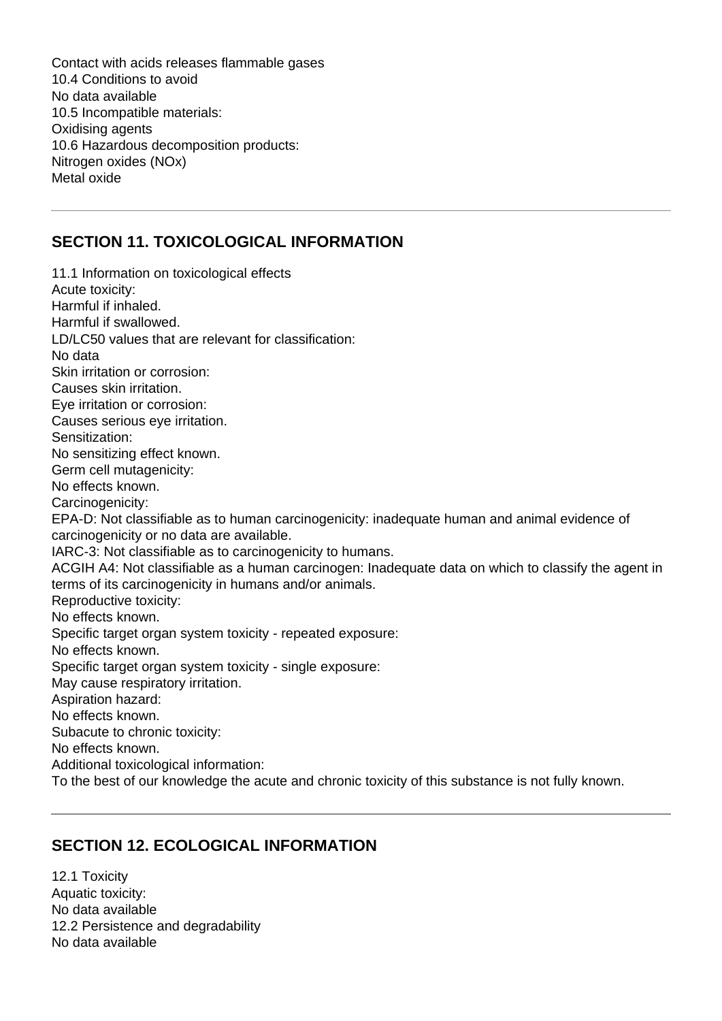Contact with acids releases flammable gases 10.4 Conditions to avoid No data available 10.5 Incompatible materials: Oxidising agents 10.6 Hazardous decomposition products: Nitrogen oxides (NOx) Metal oxide

#### **SECTION 11. TOXICOLOGICAL INFORMATION**

11.1 Information on toxicological effects Acute toxicity: Harmful if inhaled. Harmful if swallowed. LD/LC50 values that are relevant for classification: No data Skin irritation or corrosion: Causes skin irritation. Eye irritation or corrosion: Causes serious eye irritation. Sensitization: No sensitizing effect known. Germ cell mutagenicity: No effects known. Carcinogenicity: EPA-D: Not classifiable as to human carcinogenicity: inadequate human and animal evidence of carcinogenicity or no data are available. IARC-3: Not classifiable as to carcinogenicity to humans. ACGIH A4: Not classifiable as a human carcinogen: Inadequate data on which to classify the agent in terms of its carcinogenicity in humans and/or animals. Reproductive toxicity: No effects known. Specific target organ system toxicity - repeated exposure: No effects known. Specific target organ system toxicity - single exposure: May cause respiratory irritation. Aspiration hazard: No effects known. Subacute to chronic toxicity: No effects known. Additional toxicological information: To the best of our knowledge the acute and chronic toxicity of this substance is not fully known.

#### **SECTION 12. ECOLOGICAL INFORMATION**

12.1 Toxicity Aquatic toxicity: No data available 12.2 Persistence and degradability No data available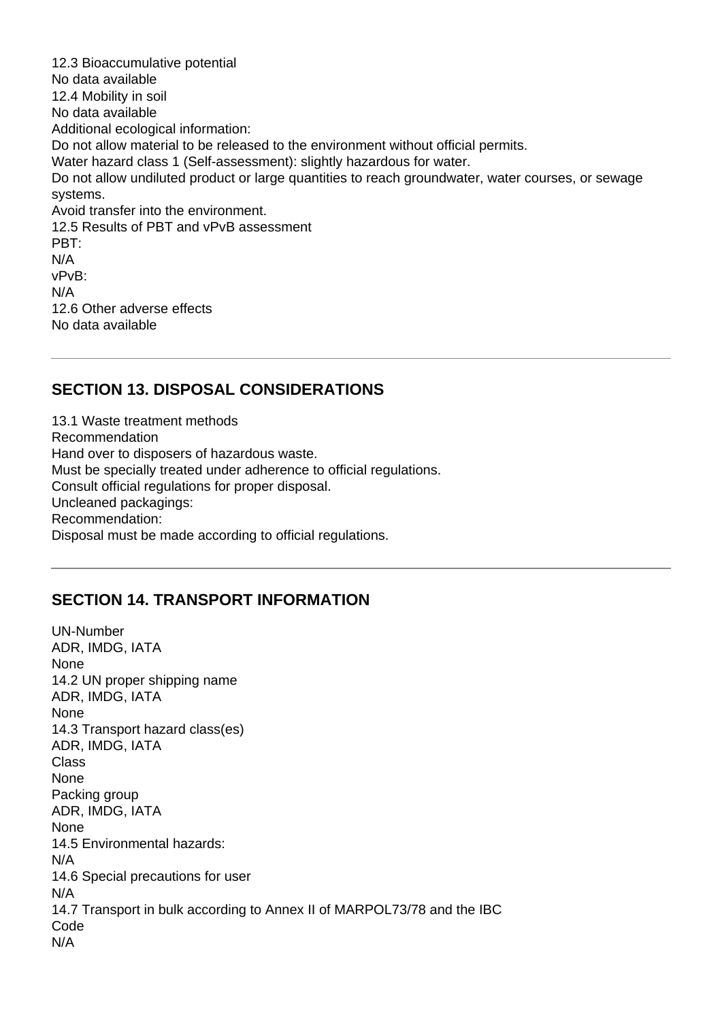12.3 Bioaccumulative potential No data available 12.4 Mobility in soil No data available Additional ecological information: Do not allow material to be released to the environment without official permits. Water hazard class 1 (Self-assessment): slightly hazardous for water. Do not allow undiluted product or large quantities to reach groundwater, water courses, or sewage systems. Avoid transfer into the environment. 12.5 Results of PBT and vPvB assessment PBT: N/A vPvB: N/A 12.6 Other adverse effects No data available

#### **SECTION 13. DISPOSAL CONSIDERATIONS**

13.1 Waste treatment methods Recommendation Hand over to disposers of hazardous waste. Must be specially treated under adherence to official regulations. Consult official regulations for proper disposal. Uncleaned packagings: Recommendation: Disposal must be made according to official regulations.

#### **SECTION 14. TRANSPORT INFORMATION**

UN-Number ADR, IMDG, IATA None 14.2 UN proper shipping name ADR, IMDG, IATA None 14.3 Transport hazard class(es) ADR, IMDG, IATA Class None Packing group ADR, IMDG, IATA None 14.5 Environmental hazards: N/A 14.6 Special precautions for user N/A 14.7 Transport in bulk according to Annex II of MARPOL73/78 and the IBC Code N/A